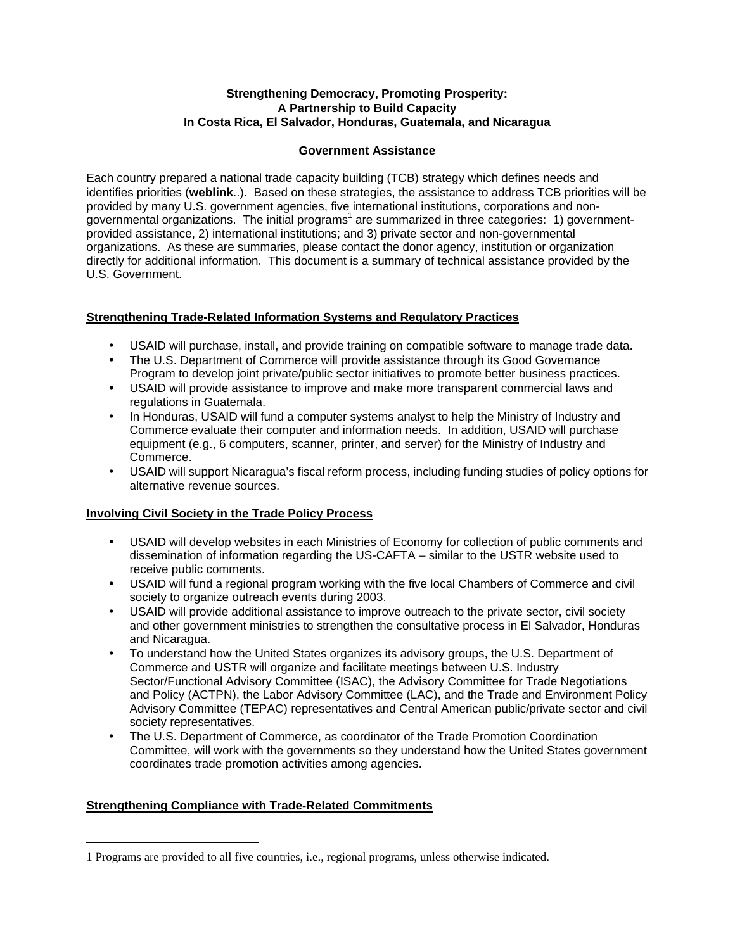#### **Strengthening Democracy, Promoting Prosperity: A Partnership to Build Capacity In Costa Rica, El Salvador, Honduras, Guatemala, and Nicaragua**

#### **Government Assistance**

Each country prepared a national trade capacity building (TCB) strategy which defines needs and identifies priorities (**weblink**..). Based on these strategies, the assistance to address TCB priorities will be provided by many U.S. government agencies, five international institutions, corporations and nongovernmental organizations. The initial programs<sup>1</sup> are summarized in three categories: 1) governmentprovided assistance, 2) international institutions; and 3) private sector and non-governmental organizations. As these are summaries, please contact the donor agency, institution or organization directly for additional information. This document is a summary of technical assistance provided by the U.S. Government.

# **Strengthening Trade-Related Information Systems and Regulatory Practices**

- USAID will purchase, install, and provide training on compatible software to manage trade data.
- The U.S. Department of Commerce will provide assistance through its Good Governance Program to develop joint private/public sector initiatives to promote better business practices.
- USAID will provide assistance to improve and make more transparent commercial laws and regulations in Guatemala.
- In Honduras, USAID will fund a computer systems analyst to help the Ministry of Industry and Commerce evaluate their computer and information needs. In addition, USAID will purchase equipment (e.g., 6 computers, scanner, printer, and server) for the Ministry of Industry and Commerce.
- USAID will support Nicaragua's fiscal reform process, including funding studies of policy options for alternative revenue sources.

# **Involving Civil Society in the Trade Policy Process**

- USAID will develop websites in each Ministries of Economy for collection of public comments and dissemination of information regarding the US-CAFTA – similar to the USTR website used to receive public comments.
- USAID will fund a regional program working with the five local Chambers of Commerce and civil society to organize outreach events during 2003.
- USAID will provide additional assistance to improve outreach to the private sector, civil society and other government ministries to strengthen the consultative process in El Salvador, Honduras and Nicaragua.
- To understand how the United States organizes its advisory groups, the U.S. Department of Commerce and USTR will organize and facilitate meetings between U.S. Industry Sector/Functional Advisory Committee (ISAC), the Advisory Committee for Trade Negotiations and Policy (ACTPN), the Labor Advisory Committee (LAC), and the Trade and Environment Policy Advisory Committee (TEPAC) representatives and Central American public/private sector and civil society representatives.
- The U.S. Department of Commerce, as coordinator of the Trade Promotion Coordination Committee, will work with the governments so they understand how the United States government coordinates trade promotion activities among agencies.

# **Strengthening Compliance with Trade-Related Commitments**

 $\overline{a}$ 

<sup>1</sup> Programs are provided to all five countries, i.e., regional programs, unless otherwise indicated.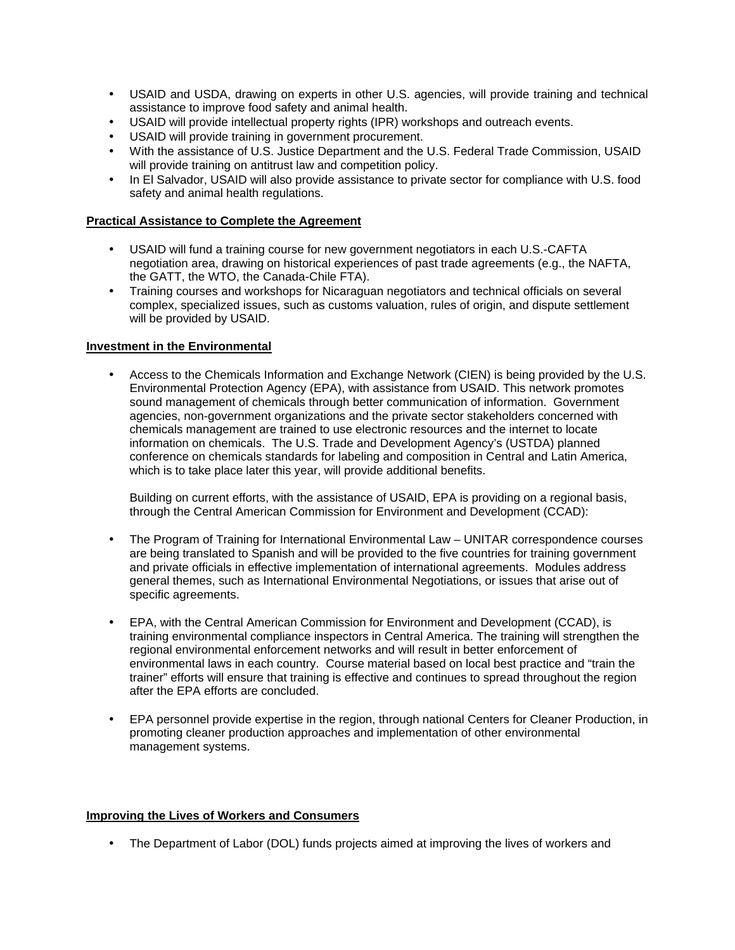- USAID and USDA, drawing on experts in other U.S. agencies, will provide training and technical assistance to improve food safety and animal health.
- USAID will provide intellectual property rights (IPR) workshops and outreach events.
- USAID will provide training in government procurement.
- With the assistance of U.S. Justice Department and the U.S. Federal Trade Commission, USAID will provide training on antitrust law and competition policy.
- In El Salvador, USAID will also provide assistance to private sector for compliance with U.S. food safety and animal health regulations.

# **Practical Assistance to Complete the Agreement**

- USAID will fund a training course for new government negotiators in each U.S.-CAFTA negotiation area, drawing on historical experiences of past trade agreements (e.g., the NAFTA, the GATT, the WTO, the Canada-Chile FTA).
- Training courses and workshops for Nicaraguan negotiators and technical officials on several complex, specialized issues, such as customs valuation, rules of origin, and dispute settlement will be provided by USAID.

# **Investment in the Environmental**

• Access to the Chemicals Information and Exchange Network (CIEN) is being provided by the U.S. Environmental Protection Agency (EPA), with assistance from USAID. This network promotes sound management of chemicals through better communication of information. Government agencies, non-government organizations and the private sector stakeholders concerned with chemicals management are trained to use electronic resources and the internet to locate information on chemicals. The U.S. Trade and Development Agency's (USTDA) planned conference on chemicals standards for labeling and composition in Central and Latin America, which is to take place later this year, will provide additional benefits.

Building on current efforts, with the assistance of USAID, EPA is providing on a regional basis, through the Central American Commission for Environment and Development (CCAD):

- The Program of Training for International Environmental Law UNITAR correspondence courses are being translated to Spanish and will be provided to the five countries for training government and private officials in effective implementation of international agreements. Modules address general themes, such as International Environmental Negotiations, or issues that arise out of specific agreements.
- EPA, with the Central American Commission for Environment and Development (CCAD), is training environmental compliance inspectors in Central America. The training will strengthen the regional environmental enforcement networks and will result in better enforcement of environmental laws in each country. Course material based on local best practice and "train the trainer" efforts will ensure that training is effective and continues to spread throughout the region after the EPA efforts are concluded.
- EPA personnel provide expertise in the region, through national Centers for Cleaner Production, in promoting cleaner production approaches and implementation of other environmental management systems.

# **Improving the Lives of Workers and Consumers**

• The Department of Labor (DOL) funds projects aimed at improving the lives of workers and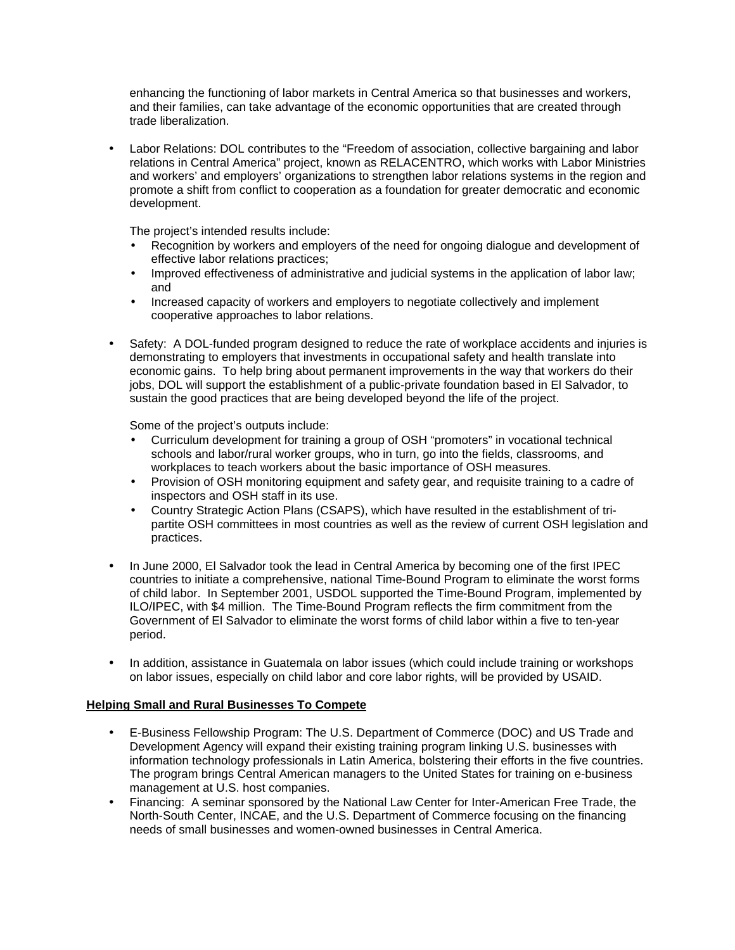enhancing the functioning of labor markets in Central America so that businesses and workers, and their families, can take advantage of the economic opportunities that are created through trade liberalization.

• Labor Relations: DOL contributes to the "Freedom of association, collective bargaining and labor relations in Central America" project, known as RELACENTRO, which works with Labor Ministries and workers' and employers' organizations to strengthen labor relations systems in the region and promote a shift from conflict to cooperation as a foundation for greater democratic and economic development.

The project's intended results include:

- Recognition by workers and employers of the need for ongoing dialogue and development of effective labor relations practices;
- Improved effectiveness of administrative and judicial systems in the application of labor law; and
- Increased capacity of workers and employers to negotiate collectively and implement cooperative approaches to labor relations.
- Safety: A DOL-funded program designed to reduce the rate of workplace accidents and injuries is demonstrating to employers that investments in occupational safety and health translate into economic gains. To help bring about permanent improvements in the way that workers do their jobs, DOL will support the establishment of a public-private foundation based in El Salvador, to sustain the good practices that are being developed beyond the life of the project.

Some of the project's outputs include:

- Curriculum development for training a group of OSH "promoters" in vocational technical schools and labor/rural worker groups, who in turn, go into the fields, classrooms, and workplaces to teach workers about the basic importance of OSH measures.
- Provision of OSH monitoring equipment and safety gear, and requisite training to a cadre of inspectors and OSH staff in its use.
- Country Strategic Action Plans (CSAPS), which have resulted in the establishment of tripartite OSH committees in most countries as well as the review of current OSH legislation and practices.
- In June 2000, El Salvador took the lead in Central America by becoming one of the first IPEC countries to initiate a comprehensive, national Time-Bound Program to eliminate the worst forms of child labor. In September 2001, USDOL supported the Time-Bound Program, implemented by ILO/IPEC, with \$4 million. The Time-Bound Program reflects the firm commitment from the Government of El Salvador to eliminate the worst forms of child labor within a five to ten-year period.
- In addition, assistance in Guatemala on labor issues (which could include training or workshops on labor issues, especially on child labor and core labor rights, will be provided by USAID.

#### **Helping Small and Rural Businesses To Compete**

- E-Business Fellowship Program: The U.S. Department of Commerce (DOC) and US Trade and Development Agency will expand their existing training program linking U.S. businesses with information technology professionals in Latin America, bolstering their efforts in the five countries. The program brings Central American managers to the United States for training on e-business management at U.S. host companies.
- Financing: A seminar sponsored by the National Law Center for Inter-American Free Trade, the North-South Center, INCAE, and the U.S. Department of Commerce focusing on the financing needs of small businesses and women-owned businesses in Central America.